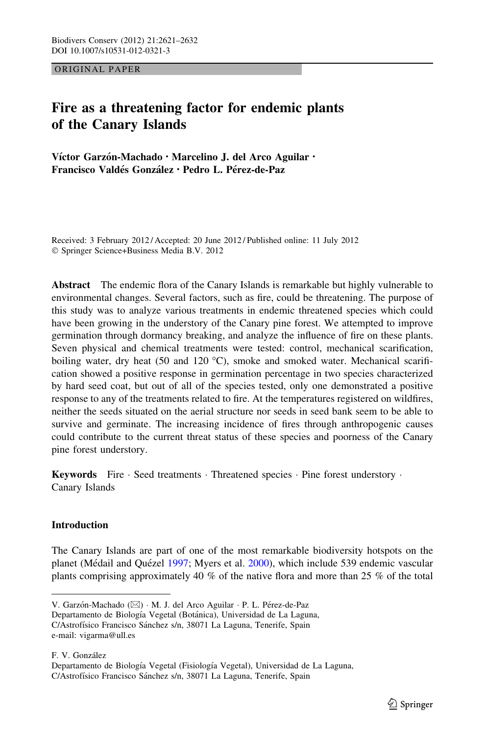ORIGINAL PAPER

# Fire as a threatening factor for endemic plants of the Canary Islands

Víctor Garzón-Machado · Marcelino J. del Arco Aguilar · Francisco Valdés González • Pedro L. Pérez-de-Paz

Received: 3 February 2012 / Accepted: 20 June 2012 / Published online: 11 July 2012 - Springer Science+Business Media B.V. 2012

Abstract The endemic flora of the Canary Islands is remarkable but highly vulnerable to environmental changes. Several factors, such as fire, could be threatening. The purpose of this study was to analyze various treatments in endemic threatened species which could have been growing in the understory of the Canary pine forest. We attempted to improve germination through dormancy breaking, and analyze the influence of fire on these plants. Seven physical and chemical treatments were tested: control, mechanical scarification, boiling water, dry heat (50 and 120  $^{\circ}$ C), smoke and smoked water. Mechanical scarification showed a positive response in germination percentage in two species characterized by hard seed coat, but out of all of the species tested, only one demonstrated a positive response to any of the treatments related to fire. At the temperatures registered on wildfires, neither the seeds situated on the aerial structure nor seeds in seed bank seem to be able to survive and germinate. The increasing incidence of fires through anthropogenic causes could contribute to the current threat status of these species and poorness of the Canary pine forest understory.

Keywords Fire · Seed treatments · Threatened species · Pine forest understory · Canary Islands

# **Introduction**

The Canary Islands are part of one of the most remarkable biodiversity hotspots on the planet (Médail and Quézel [1997;](#page-10-0) Myers et al. [2000\)](#page-10-0), which include 539 endemic vascular plants comprising approximately 40 % of the native flora and more than 25 % of the total

V. Garzón-Machado (⊠) · M. J. del Arco Aguilar · P. L. Pérez-de-Paz

Departamento de Biología Vegetal (Botánica), Universidad de La Laguna, C/Astrofísico Francisco Sánchez s/n, 38071 La Laguna, Tenerife, Spain

e-mail: vigarma@ull.es

F. V. González Departamento de Biología Vegetal (Fisiología Vegetal), Universidad de La Laguna,

C/Astrofísico Francisco Sánchez s/n, 38071 La Laguna, Tenerife, Spain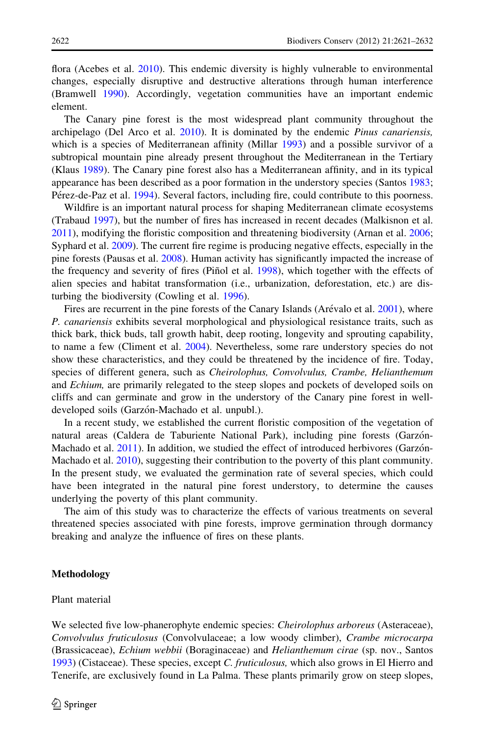flora (Acebes et al. [2010](#page-9-0)). This endemic diversity is highly vulnerable to environmental changes, especially disruptive and destructive alterations through human interference (Bramwell [1990](#page-9-0)). Accordingly, vegetation communities have an important endemic element.

The Canary pine forest is the most widespread plant community throughout the archipelago (Del Arco et al. [2010\)](#page-10-0). It is dominated by the endemic Pinus canariensis, which is a species of Mediterranean affinity (Millar [1993](#page-10-0)) and a possible survivor of a subtropical mountain pine already present throughout the Mediterranean in the Tertiary (Klaus [1989\)](#page-10-0). The Canary pine forest also has a Mediterranean affinity, and in its typical appearance has been described as a poor formation in the understory species (Santos [1983;](#page-11-0) Pérez-de-Paz et al. [1994\)](#page-10-0). Several factors, including fire, could contribute to this poorness.

Wildfire is an important natural process for shaping Mediterranean climate ecosystems (Trabaud [1997](#page-11-0)), but the number of fires has increased in recent decades (Malkisnon et al. [2011\)](#page-10-0), modifying the floristic composition and threatening biodiversity (Arnan et al. [2006;](#page-9-0) Syphard et al. [2009](#page-11-0)). The current fire regime is producing negative effects, especially in the pine forests (Pausas et al. [2008](#page-10-0)). Human activity has significantly impacted the increase of the frequency and severity of fires (Piñol et al. [1998\)](#page-11-0), which together with the effects of alien species and habitat transformation (i.e., urbanization, deforestation, etc.) are disturbing the biodiversity (Cowling et al. [1996\)](#page-9-0).

Fires are recurrent in the pine forests of the Canary Islands (Arévalo et al. [2001](#page-9-0)), where P. canariensis exhibits several morphological and physiological resistance traits, such as thick bark, thick buds, tall growth habit, deep rooting, longevity and sprouting capability, to name a few (Climent et al. [2004\)](#page-9-0). Nevertheless, some rare understory species do not show these characteristics, and they could be threatened by the incidence of fire. Today, species of different genera, such as *Cheirolophus, Convolvulus, Crambe, Helianthemum* and *Echium*, are primarily relegated to the steep slopes and pockets of developed soils on cliffs and can germinate and grow in the understory of the Canary pine forest in welldeveloped soils (Garzón-Machado et al. unpubl.).

In a recent study, we established the current floristic composition of the vegetation of natural areas (Caldera de Taburiente National Park), including pine forests (Garzón-Machado et al. [2011](#page-10-0)). In addition, we studied the effect of introduced herbivores (Garzón-Machado et al. [2010](#page-10-0)), suggesting their contribution to the poverty of this plant community. In the present study, we evaluated the germination rate of several species, which could have been integrated in the natural pine forest understory, to determine the causes underlying the poverty of this plant community.

The aim of this study was to characterize the effects of various treatments on several threatened species associated with pine forests, improve germination through dormancy breaking and analyze the influence of fires on these plants.

## Methodology

# Plant material

We selected five low-phanerophyte endemic species: Cheirolophus arboreus (Asteraceae), Convolvulus fruticulosus (Convolvulaceae; a low woody climber), Crambe microcarpa (Brassicaceae), Echium webbii (Boraginaceae) and Helianthemum cirae (sp. nov., Santos [1993\)](#page-11-0) (Cistaceae). These species, except C. fruticulosus, which also grows in El Hierro and Tenerife, are exclusively found in La Palma. These plants primarily grow on steep slopes,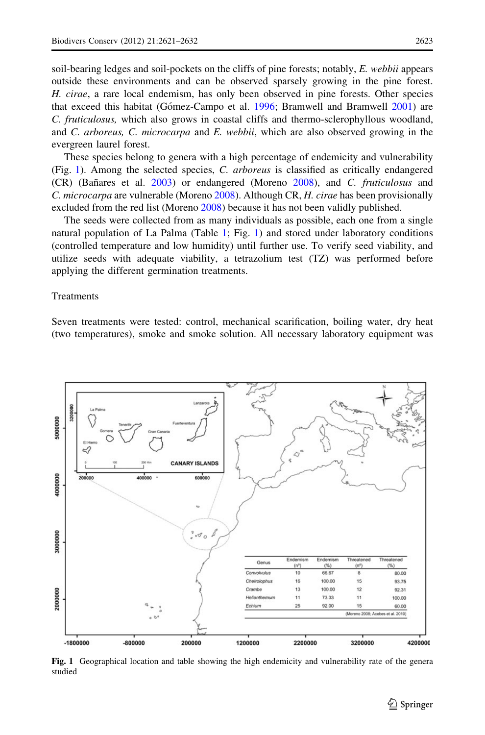soil-bearing ledges and soil-pockets on the cliffs of pine forests; notably,  $E$ , webbii appears outside these environments and can be observed sparsely growing in the pine forest. H. cirae, a rare local endemism, has only been observed in pine forests. Other species that exceed this habitat (Gómez-Campo et al. [1996](#page-10-0); Bramwell and Bramwell [2001](#page-9-0)) are C. fruticulosus, which also grows in coastal cliffs and thermo-sclerophyllous woodland, and C. arboreus, C. microcarpa and E. webbii, which are also observed growing in the evergreen laurel forest.

These species belong to genera with a high percentage of endemicity and vulnerability (Fig. 1). Among the selected species, C. arboreus is classified as critically endangered (CR) (Ban˜ares et al. [2003](#page-9-0)) or endangered (Moreno [2008\)](#page-10-0), and C. fruticulosus and C. microcarpa are vulnerable (Moreno [2008](#page-10-0)). Although CR, H. cirae has been provisionally excluded from the red list (Moreno [2008](#page-10-0)) because it has not been validly published.

The seeds were collected from as many individuals as possible, each one from a single natural population of La Palma (Table [1;](#page-3-0) Fig. 1) and stored under laboratory conditions (controlled temperature and low humidity) until further use. To verify seed viability, and utilize seeds with adequate viability, a tetrazolium test (TZ) was performed before applying the different germination treatments.

## **Treatments**

Seven treatments were tested: control, mechanical scarification, boiling water, dry heat (two temperatures), smoke and smoke solution. All necessary laboratory equipment was



Fig. 1 Geographical location and table showing the high endemicity and vulnerability rate of the genera studied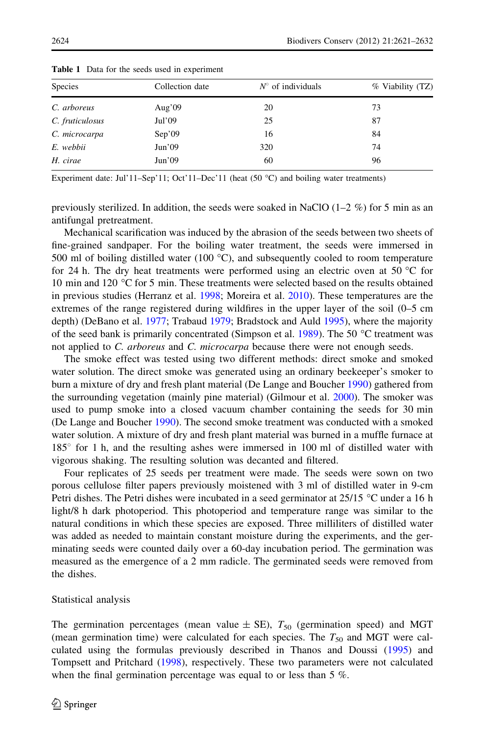| <b>Species</b>  | Collection date | $N^{\circ}$ of individuals | % Viability (TZ) |
|-----------------|-----------------|----------------------------|------------------|
| C. arboreus     | Aug'09          | 20                         | 73               |
| C. fruticulosus | Jul'09          | 25                         | 87               |
| C. microcarpa   | Sep'09          | 16                         | 84               |
| E. webbii       | Jun'09          | 320                        | 74               |
| H. cirae        | Jun'09          | 60                         | 96               |

<span id="page-3-0"></span>Table 1 Data for the seeds used in experiment

Experiment date: Jul'11–Sep'11; Oct'11–Dec'11 (heat  $(50 °C)$  and boiling water treatments)

previously sterilized. In addition, the seeds were soaked in NaClO  $(1-2 \%)$  for 5 min as an antifungal pretreatment.

Mechanical scarification was induced by the abrasion of the seeds between two sheets of fine-grained sandpaper. For the boiling water treatment, the seeds were immersed in 500 ml of boiling distilled water (100  $^{\circ}$ C), and subsequently cooled to room temperature for 24 h. The dry heat treatments were performed using an electric oven at 50  $\degree$ C for 10 min and 120 °C for 5 min. These treatments were selected based on the results obtained in previous studies (Herranz et al. [1998;](#page-10-0) Moreira et al. [2010](#page-10-0)). These temperatures are the extremes of the range registered during wildfires in the upper layer of the soil (0–5 cm depth) (DeBano et al. [1977;](#page-9-0) Trabaud [1979](#page-11-0); Bradstock and Auld [1995](#page-9-0)), where the majority of the seed bank is primarily concentrated (Simpson et al. [1989\)](#page-11-0). The 50  $^{\circ}$ C treatment was not applied to C. arboreus and C. microcarpa because there were not enough seeds.

The smoke effect was tested using two different methods: direct smoke and smoked water solution. The direct smoke was generated using an ordinary beekeeper's smoker to burn a mixture of dry and fresh plant material (De Lange and Boucher [1990\)](#page-9-0) gathered from the surrounding vegetation (mainly pine material) (Gilmour et al. [2000\)](#page-10-0). The smoker was used to pump smoke into a closed vacuum chamber containing the seeds for 30 min (De Lange and Boucher [1990](#page-9-0)). The second smoke treatment was conducted with a smoked water solution. A mixture of dry and fresh plant material was burned in a muffle furnace at  $185^\circ$  for 1 h, and the resulting ashes were immersed in 100 ml of distilled water with vigorous shaking. The resulting solution was decanted and filtered.

Four replicates of 25 seeds per treatment were made. The seeds were sown on two porous cellulose filter papers previously moistened with 3 ml of distilled water in 9-cm Petri dishes. The Petri dishes were incubated in a seed germinator at  $25/15$  °C under a 16 h light/8 h dark photoperiod. This photoperiod and temperature range was similar to the natural conditions in which these species are exposed. Three milliliters of distilled water was added as needed to maintain constant moisture during the experiments, and the germinating seeds were counted daily over a 60-day incubation period. The germination was measured as the emergence of a 2 mm radicle. The germinated seeds were removed from the dishes.

Statistical analysis

The germination percentages (mean value  $\pm$  SE),  $T_{50}$  (germination speed) and MGT (mean germination time) were calculated for each species. The  $T_{50}$  and MGT were calculated using the formulas previously described in Thanos and Doussi [\(1995](#page-11-0)) and Tompsett and Pritchard ([1998\)](#page-11-0), respectively. These two parameters were not calculated when the final germination percentage was equal to or less than 5 %.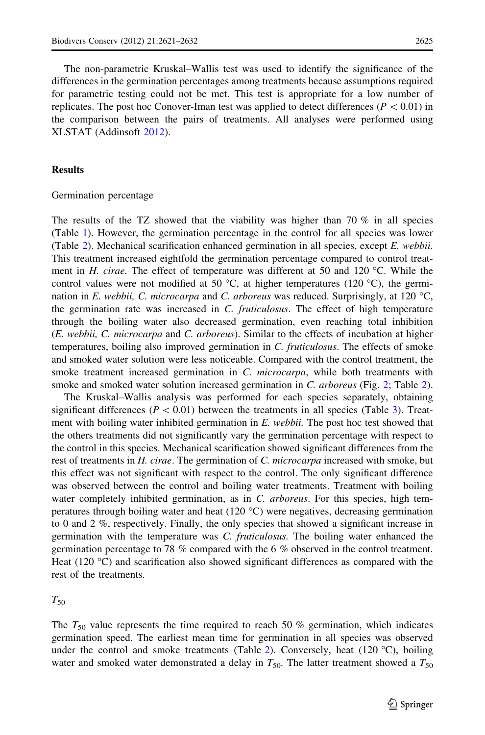The non-parametric Kruskal–Wallis test was used to identify the significance of the differences in the germination percentages among treatments because assumptions required for parametric testing could not be met. This test is appropriate for a low number of replicates. The post hoc Conover-Iman test was applied to detect differences ( $P<0.01$ ) in the comparison between the pairs of treatments. All analyses were performed using XLSTAT (Addinsoft [2012](#page-9-0)).

## Results

#### Germination percentage

The results of the TZ showed that the viability was higher than  $70\%$  in all species (Table [1](#page-3-0)). However, the germination percentage in the control for all species was lower (Table [2](#page-5-0)). Mechanical scarification enhanced germination in all species, except E. webbii. This treatment increased eightfold the germination percentage compared to control treatment in *H. cirae*. The effect of temperature was different at 50 and 120  $^{\circ}$ C. While the control values were not modified at 50  $^{\circ}$ C, at higher temperatures (120  $^{\circ}$ C), the germination in E. webbii, C. microcarpa and C. arboreus was reduced. Surprisingly, at 120 °C, the germination rate was increased in  $C$ . *fruticulosus*. The effect of high temperature through the boiling water also decreased germination, even reaching total inhibition (E. webbii, C. microcarpa and C. arboreus). Similar to the effects of incubation at higher temperatures, boiling also improved germination in C. fruticulosus. The effects of smoke and smoked water solution were less noticeable. Compared with the control treatment, the smoke treatment increased germination in C. microcarpa, while both treatments with smoke and smoked water solution increased germination in  $C$ . arboreus (Fig. [2](#page-5-0); Table 2).

The Kruskal–Wallis analysis was performed for each species separately, obtaining significant differences ( $P < 0.01$ ) between the treatments in all species (Table [3](#page-7-0)). Treatment with boiling water inhibited germination in E. webbii. The post hoc test showed that the others treatments did not significantly vary the germination percentage with respect to the control in this species. Mechanical scarification showed significant differences from the rest of treatments in H. cirae. The germination of C. microcarpa increased with smoke, but this effect was not significant with respect to the control. The only significant difference was observed between the control and boiling water treatments. Treatment with boiling water completely inhibited germination, as in C. arboreus. For this species, high temperatures through boiling water and heat (120  $^{\circ}$ C) were negatives, decreasing germination to 0 and 2 %, respectively. Finally, the only species that showed a significant increase in germination with the temperature was C. fruticulosus. The boiling water enhanced the germination percentage to 78 % compared with the 6 % observed in the control treatment. Heat (120  $^{\circ}$ C) and scarification also showed significant differences as compared with the rest of the treatments.

 $T_{50}$ 

The  $T_{50}$  value represents the time required to reach 50 % germination, which indicates germination speed. The earliest mean time for germination in all species was observed under the control and smoke treatments (Table [2\)](#page-5-0). Conversely, heat  $(120 \degree C)$ , boiling water and smoked water demonstrated a delay in  $T_{50}$ . The latter treatment showed a  $T_{50}$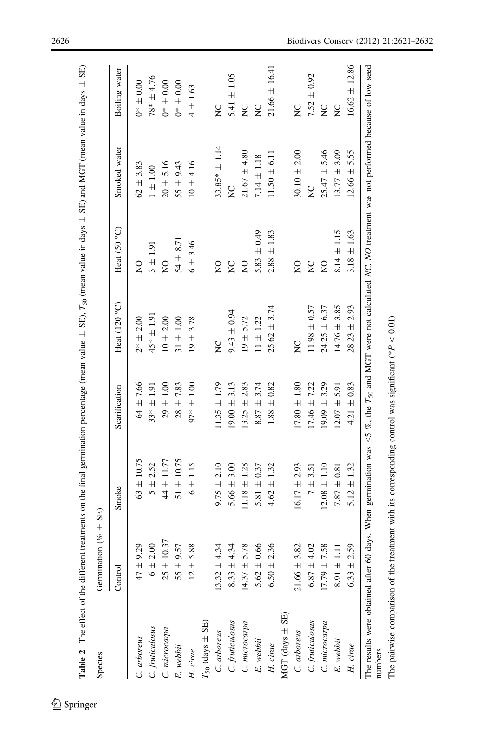<span id="page-5-0"></span>

|                          |                              | Table 2 The effect of the different treatments on the final germination percentage (mean value $\pm$ SE), $T_{50}$ (mean value in days $\pm$ SE) and MGT (mean value in days $\pm$ SE) |                  |                  |                  |                   |                   |
|--------------------------|------------------------------|----------------------------------------------------------------------------------------------------------------------------------------------------------------------------------------|------------------|------------------|------------------|-------------------|-------------------|
| Species                  | Germination (% $\pm$ SE)     |                                                                                                                                                                                        |                  |                  |                  |                   |                   |
|                          | Control                      | Smoke                                                                                                                                                                                  | Scarification    | Heat $(120oC)$   | Heat (50 °C)     | Smoked water      | Boiling water     |
| C. arboreus              | 9.29<br>$47 \pm 9$           | $63 \pm 10.75$                                                                                                                                                                         | $64 \pm 7.66$    | $2* + 2.00$      | $\frac{1}{2}$    | $62 + 3.83$       | $0.00 + 0.00$     |
| C. fruticulosus          | 6 ± 2.00                     | $5 + 2.52$                                                                                                                                                                             | $33* + 1.91$     | $45* \pm 1.91$   | $3 + 1.91$       | $1 \pm 1.00$      | $78* + 4.76$      |
| C. microcarpa            | 10.37<br>$25 \pm$            | $44 \pm 11.77$                                                                                                                                                                         | $29 \pm 1.00$    | $10 \pm 2.00$    | $\frac{1}{2}$    | $20 \pm 5.16$     | $0^{*} \pm 0.00$  |
| E. webbii                | 9.57<br>$55 \pm 9$           | $51 \pm 10.75$                                                                                                                                                                         | $28 + 7.83$      | $31 \pm 1.00$    | $54 \pm 8.71$    | $55 \pm 9.43$     | $0^{*} \pm 0.00$  |
| H. $cinae$               | .88<br>$12 \pm 5$            | $6 \pm 1.15$                                                                                                                                                                           | $97* + 1.00$     | $19 + 3.78$      | $6 + 3.46$       | $10 \pm 4.16$     | $4 \pm 1.63$      |
| $T_{50}$ (days $\pm$ SE) |                              |                                                                                                                                                                                        |                  |                  |                  |                   |                   |
| C. arboreus              | 4.34<br>$13.32 \pm 4$        | $9.75 \pm 2.10$                                                                                                                                                                        | $11.35 \pm 1.79$ | ă                | $\frac{0}{2}$    | $33.85* \pm 1.14$ | $\zeta$           |
| C. fruticulosus          | $8.33 \pm 4.34$              | $5.66 \pm 3.00$                                                                                                                                                                        | $19.00 \pm 3.13$ | $9.43 \pm 0.94$  | $\frac{C}{Z}$    | $\tilde{z}$       | $5.41 \pm 1.05$   |
| C. microcarpa            | $14.37 \pm 5.78$             | $11.18 \pm 1.28$                                                                                                                                                                       | $13.25 \pm 2.83$ | $19 + 5.72$      | $\frac{0}{2}$    | $21.67 \pm 4.80$  | $\overline{C}$    |
| $E.$ webbii              | $5.62 \pm 0.66$              | 5.81 $\pm$ 0.37                                                                                                                                                                        | $8.87 \pm 3.74$  | $11 \pm 1.22$    | 5.83 $\pm$ 0.49  | $7.14 \pm 1.18$   | $\frac{C}{Z}$     |
| $H.$ cirae               | $6.50 \pm 2.36$              | $4.62 \pm 1.32$                                                                                                                                                                        | $1.88 \pm 0.82$  | $25.62 \pm 3.74$ | $2.88 \pm 1.83$  | $11.50 \pm 6.11$  | $21.66 \pm 16.41$ |
| MGT (days $\pm$ SE)      |                              |                                                                                                                                                                                        |                  |                  |                  |                   |                   |
| C. arboreus              | $21.66 \pm 3.82$             | $16.17 \pm 2.93$                                                                                                                                                                       | $17.80 \pm 1.80$ | ă                | $\overline{S}$   | $30.10 \pm 2.00$  | $\zeta$           |
| C. fruticulosus          | $6.87 \pm 4.02$              | $7 \pm 3.51$                                                                                                                                                                           | $17.46 \pm 7.22$ | $11.98 \pm 0.57$ | $\sum_{i=1}^{n}$ | X                 | $7.52 \pm 0.92$   |
| C. microcarpa            | 7.58<br>$17.79 \pm 7$        | $12.08 \pm 1.10$                                                                                                                                                                       | $19.09 \pm 3.29$ | $24.25 \pm 6.37$ | $\frac{0}{2}$    | $25.47 \pm 5.46$  | $\sum_{i=1}^{n}$  |
| E. webbii                | $\overline{1}$<br>$8.91 \pm$ | $7.87 \pm 0.81$                                                                                                                                                                        | $12.07 \pm 5.91$ | $14.76 \pm 3.85$ | $8.14 \pm 1.15$  | $13.77 \pm 3.09$  | $\overline{C}$    |
| $H. \,cinae$             | $6.33 \pm 2.59$              | $5.12 \pm 1.32$                                                                                                                                                                        | $4.21 \pm 0.83$  | ± 2.93<br>28.23  | $3.18 \pm 1.63$  | $12.66 \pm 5.55$  | $16.62 \pm 12.86$ |
| numbers                  |                              | The results were obtained after 60 days. When germination was $\leq$ 5 %, the $T_{50}$ and MGT were not calculated NC. NO treatment was not performed because of low seed              |                  |                  |                  |                   |                   |

 $\underline{\textcircled{\tiny 2}}$  Springer

The pairwise comparison of the treatment with its corresponding control was significant (\*

 $P < 0.01$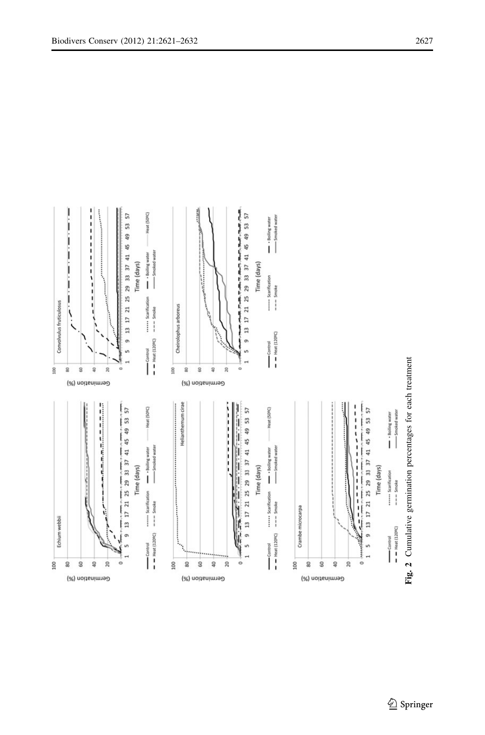<span id="page-6-0"></span>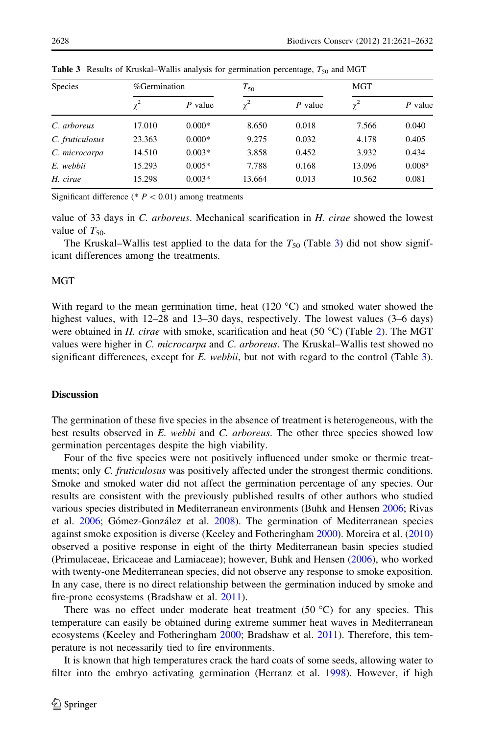| Species         | %Germination |           | $T_{50}$   |           | MGT        |          |
|-----------------|--------------|-----------|------------|-----------|------------|----------|
|                 | $\gamma^2$   | $P$ value | $\gamma^2$ | $P$ value | $\gamma^2$ | P value  |
| C. arboreus     | 17.010       | $0.000*$  | 8.650      | 0.018     | 7.566      | 0.040    |
| C. fruticulosus | 23.363       | $0.000*$  | 9.275      | 0.032     | 4.178      | 0.405    |
| C. microcarpa   | 14.510       | $0.003*$  | 3.858      | 0.452     | 3.932      | 0.434    |
| E. webbii       | 15.293       | $0.005*$  | 7.788      | 0.168     | 13.096     | $0.008*$ |
| H. cirae        | 15.298       | $0.003*$  | 13.664     | 0.013     | 10.562     | 0.081    |

<span id="page-7-0"></span>**Table 3** Results of Kruskal–Wallis analysis for germination percentage,  $T_{50}$  and MGT

Significant difference (\*  $P < 0.01$ ) among treatments

value of 33 days in *C. arboreus.* Mechanical scarification in *H. cirae* showed the lowest value of  $T_{50}$ .

The Kruskal–Wallis test applied to the data for the  $T_{50}$  (Table 3) did not show significant differences among the treatments.

# **MGT**

With regard to the mean germination time, heat  $(120 \degree C)$  and smoked water showed the highest values, with  $12-28$  and  $13-30$  days, respectively. The lowest values  $(3-6 \text{ days})$ were obtained in H. cirae with smoke, scarification and heat (50 °C) (Table [2\)](#page-5-0). The MGT values were higher in C. microcarpa and C. arboreus. The Kruskal–Wallis test showed no significant differences, except for  $E$ . webbii, but not with regard to the control (Table 3).

## **Discussion**

The germination of these five species in the absence of treatment is heterogeneous, with the best results observed in E. webbi and C. arboreus. The other three species showed low germination percentages despite the high viability.

Four of the five species were not positively influenced under smoke or thermic treatments; only C. fruticulosus was positively affected under the strongest thermic conditions. Smoke and smoked water did not affect the germination percentage of any species. Our results are consistent with the previously published results of other authors who studied various species distributed in Mediterranean environments (Buhk and Hensen [2006;](#page-9-0) Rivas et al. [2006;](#page-11-0) Gómez-González et al. [2008](#page-10-0)). The germination of Mediterranean species against smoke exposition is diverse (Keeley and Fotheringham [2000\)](#page-10-0). Moreira et al. ([2010](#page-10-0)) observed a positive response in eight of the thirty Mediterranean basin species studied (Primulaceae, Ericaceae and Lamiaceae); however, Buhk and Hensen [\(2006](#page-9-0)), who worked with twenty-one Mediterranean species, did not observe any response to smoke exposition. In any case, there is no direct relationship between the germination induced by smoke and fire-prone ecosystems (Bradshaw et al. [2011](#page-9-0)).

There was no effect under moderate heat treatment  $(50 °C)$  for any species. This temperature can easily be obtained during extreme summer heat waves in Mediterranean ecosystems (Keeley and Fotheringham [2000](#page-10-0); Bradshaw et al. [2011\)](#page-9-0). Therefore, this temperature is not necessarily tied to fire environments.

It is known that high temperatures crack the hard coats of some seeds, allowing water to filter into the embryo activating germination (Herranz et al. [1998\)](#page-10-0). However, if high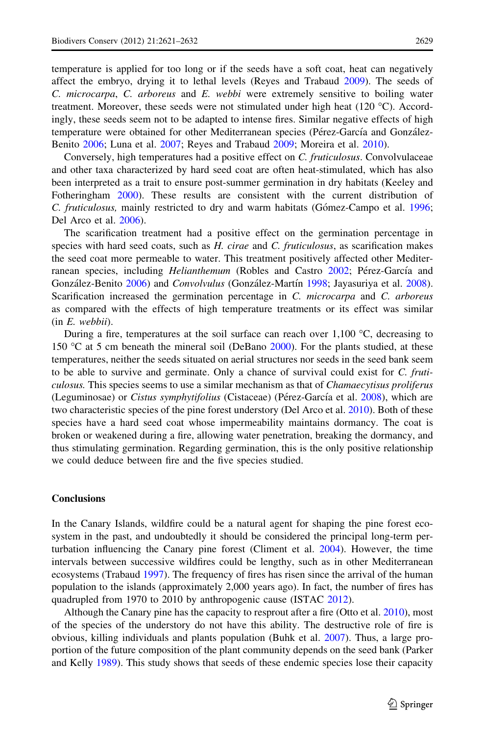temperature is applied for too long or if the seeds have a soft coat, heat can negatively affect the embryo, drying it to lethal levels (Reyes and Trabaud [2009\)](#page-11-0). The seeds of C. microcarpa, C. arboreus and E. webbi were extremely sensitive to boiling water treatment. Moreover, these seeds were not stimulated under high heat  $(120 \degree C)$ . Accordingly, these seeds seem not to be adapted to intense fires. Similar negative effects of high temperature were obtained for other Mediterranean species (Pérez-García and González-Benito [2006](#page-11-0); Luna et al. [2007](#page-10-0); Reyes and Trabaud [2009;](#page-11-0) Moreira et al. [2010\)](#page-10-0).

Conversely, high temperatures had a positive effect on C. fruticulosus. Convolvulaceae and other taxa characterized by hard seed coat are often heat-stimulated, which has also been interpreted as a trait to ensure post-summer germination in dry habitats (Keeley and Fotheringham [2000](#page-10-0)). These results are consistent with the current distribution of C. fruticulosus, mainly restricted to dry and warm habitats (Gómez-Campo et al. [1996;](#page-10-0) Del Arco et al. [2006](#page-10-0)).

The scarification treatment had a positive effect on the germination percentage in species with hard seed coats, such as H. cirae and C. fruticulosus, as scarification makes the seed coat more permeable to water. This treatment positively affected other Mediterranean species, including *Helianthemum* (Robles and Castro [2002](#page-11-0); Pérez-García and González-Benito [2006](#page-11-0)) and *Convolvulus* (González-Martín [1998;](#page-10-0) Jayasuriya et al. [2008](#page-10-0)). Scarification increased the germination percentage in C. microcarpa and C. arboreus as compared with the effects of high temperature treatments or its effect was similar (in E. webbii).

During a fire, temperatures at the soil surface can reach over  $1,100$  °C, decreasing to 150  $\degree$ C at 5 cm beneath the mineral soil (DeBano [2000\)](#page-9-0). For the plants studied, at these temperatures, neither the seeds situated on aerial structures nor seeds in the seed bank seem to be able to survive and germinate. Only a chance of survival could exist for C. fruticulosus. This species seems to use a similar mechanism as that of Chamaecytisus proliferus (Leguminosae) or *Cistus symphytifolius* (Cistaceae) (Pérez-García et al. [2008](#page-11-0)), which are two characteristic species of the pine forest understory (Del Arco et al. [2010\)](#page-10-0). Both of these species have a hard seed coat whose impermeability maintains dormancy. The coat is broken or weakened during a fire, allowing water penetration, breaking the dormancy, and thus stimulating germination. Regarding germination, this is the only positive relationship we could deduce between fire and the five species studied.

## **Conclusions**

In the Canary Islands, wildfire could be a natural agent for shaping the pine forest ecosystem in the past, and undoubtedly it should be considered the principal long-term perturbation influencing the Canary pine forest (Climent et al. [2004](#page-9-0)). However, the time intervals between successive wildfires could be lengthy, such as in other Mediterranean ecosystems (Trabaud [1997\)](#page-11-0). The frequency of fires has risen since the arrival of the human population to the islands (approximately 2,000 years ago). In fact, the number of fires has quadrupled from 1970 to 2010 by anthropogenic cause (ISTAC [2012\)](#page-10-0).

Although the Canary pine has the capacity to resprout after a fire (Otto et al. [2010](#page-10-0)), most of the species of the understory do not have this ability. The destructive role of fire is obvious, killing individuals and plants population (Buhk et al. [2007\)](#page-9-0). Thus, a large proportion of the future composition of the plant community depends on the seed bank (Parker and Kelly [1989](#page-10-0)). This study shows that seeds of these endemic species lose their capacity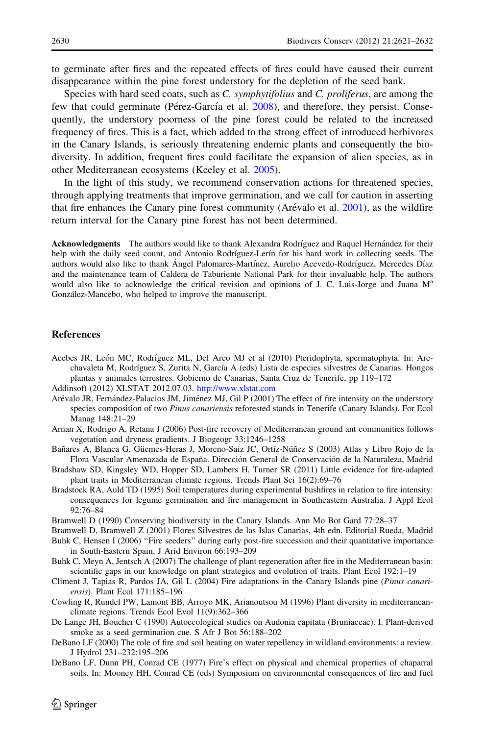<span id="page-9-0"></span>to germinate after fires and the repeated effects of fires could have caused their current disappearance within the pine forest understory for the depletion of the seed bank.

Species with hard seed coats, such as C. symphytifolius and C. proliferus, are among the few that could germinate (Pérez-García et al. [2008](#page-11-0)), and therefore, they persist. Consequently, the understory poorness of the pine forest could be related to the increased frequency of fires. This is a fact, which added to the strong effect of introduced herbivores in the Canary Islands, is seriously threatening endemic plants and consequently the biodiversity. In addition, frequent fires could facilitate the expansion of alien species, as in other Mediterranean ecosystems (Keeley et al. [2005\)](#page-10-0).

In the light of this study, we recommend conservation actions for threatened species, through applying treatments that improve germination, and we call for caution in asserting that fire enhances the Canary pine forest community (Arévalo et al.  $2001$ ), as the wildfire return interval for the Canary pine forest has not been determined.

Acknowledgments The authors would like to thank Alexandra Rodríguez and Raquel Hernández for their help with the daily seed count, and Antonio Rodríguez-Lerín for his hard work in collecting seeds. The authors would also like to thank Angel Palomares-Martínez, Aurelio Acevedo-Rodríguez, Mercedes Díaz and the maintenance team of Caldera de Taburiente National Park for their invaluable help. The authors would also like to acknowledge the critical revision and opinions of J. C. Luis-Jorge and Juana  $M^a$ González-Mancebo, who helped to improve the manuscript.

## References

- Acebes JR, León MC, Rodríguez ML, Del Arco MJ et al (2010) Pteridophyta, spermatophyta. In: Arechavaleta M, Rodríguez S, Zurita N, García A (eds) Lista de especies silvestres de Canarias. Hongos plantas y animales terrestres. Gobierno de Canarias, Santa Cruz de Tenerife, pp 119–172
- Addinsoft (2012) XLSTAT 2012.07.03. <http://www.xlstat.com>
- Arévalo JR, Fernández-Palacios JM, Jiménez MJ, Gil P (2001) The effect of fire intensity on the understory species composition of two Pinus canariensis reforested stands in Tenerife (Canary Islands). For Ecol Manag 148:21–29
- Arnan X, Rodrigo A, Retana J (2006) Post-fire recovery of Mediterranean ground ant communities follows vegetation and dryness gradients. J Biogeogr 33:1246–1258
- Bañares A, Blanca G, Güemes-Heras J, Moreno-Saiz JC, Ortíz-Núñez S (2003) Atlas y Libro Rojo de la Flora Vascular Amenazada de España. Dirección General de Conservación de la Naturaleza, Madrid
- Bradshaw SD, Kingsley WD, Hopper SD, Lambers H, Turner SR (2011) Little evidence for fire-adapted plant traits in Mediterranean climate regions. Trends Plant Sci 16(2):69–76
- Bradstock RA, Auld TD (1995) Soil temperatures during experimental bushfires in relation to fire intensity: consequences for legume germination and fire management in Southeastern Australia. J Appl Ecol 92:76–84
- Bramwell D (1990) Conserving biodiversity in the Canary Islands. Ann Mo Bot Gard 77:28–37
- Bramwell D, Bramwell Z (2001) Flores Silvestres de las Islas Canarias, 4th edn. Editorial Rueda, Madrid Buhk C, Hensen I (2006) "Fire seeders" during early post-fire succession and their quantitative importance in South-Eastern Spain. J Arid Environ 66:193–209
- Buhk C, Meyn A, Jentsch A (2007) The challenge of plant regeneration after fire in the Mediterranean basin: scientific gaps in our knowledge on plant strategies and evolution of traits. Plant Ecol 192:1–19
- Climent J, Tapias R, Pardos JA, Gil L (2004) Fire adaptations in the Canary Islands pine (Pinus canariensis). Plant Ecol 171:185–196
- Cowling R, Rundel PW, Lamont BB, Arroyo MK, Arianoutsou M (1996) Plant diversity in mediterraneanclimate regions. Trends Ecol Evol 11(9):362–366
- De Lange JH, Boucher C (1990) Autoecological studies on Audonia capitata (Bruniaceae). I. Plant-derived smoke as a seed germination cue. S Afr J Bot 56:188–202
- DeBano LF (2000) The role of fire and soil heating on water repellency in wildland environments: a review. J Hydrol 231–232:195–206
- DeBano LF, Dunn PH, Conrad CE (1977) Fire's effect on physical and chemical properties of chaparral soils. In: Mooney HH, Conrad CE (eds) Symposium on environmental consequences of fire and fuel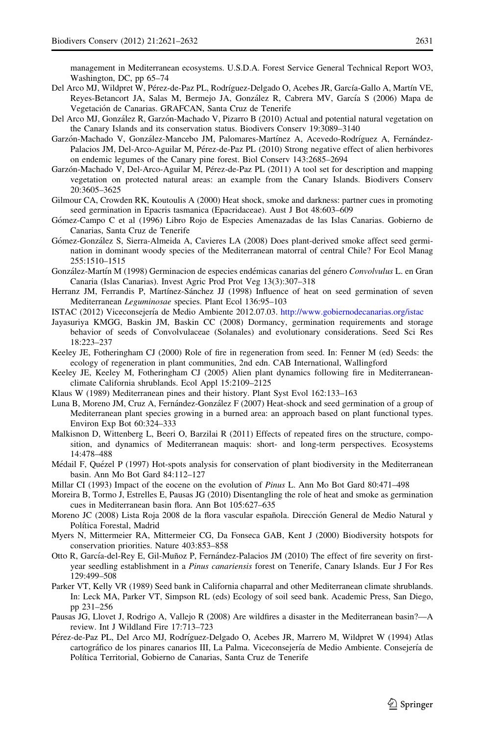<span id="page-10-0"></span>management in Mediterranean ecosystems. U.S.D.A. Forest Service General Technical Report WO3, Washington, DC, pp 65–74

- Del Arco MJ, Wildpret W, Pérez-de-Paz PL, Rodríguez-Delgado O, Acebes JR, García-Gallo A, Martín VE, Reyes-Betancort JA, Salas M, Bermejo JA, González R, Cabrera MV, García S (2006) Mapa de Vegetación de Canarias. GRAFCAN, Santa Cruz de Tenerife
- Del Arco MJ, González R, Garzón-Machado V, Pizarro B (2010) Actual and potential natural vegetation on the Canary Islands and its conservation status. Biodivers Conserv 19:3089–3140
- Garzón-Machado V, González-Mancebo JM, Palomares-Martínez A, Acevedo-Rodríguez A, Fernández-Palacios JM, Del-Arco-Aguilar M, Pérez-de-Paz PL (2010) Strong negative effect of alien herbivores on endemic legumes of the Canary pine forest. Biol Conserv 143:2685–2694
- Garzón-Machado V, Del-Arco-Aguilar M, Pérez-de-Paz PL (2011) A tool set for description and mapping vegetation on protected natural areas: an example from the Canary Islands. Biodivers Conserv 20:3605–3625
- Gilmour CA, Crowden RK, Koutoulis A (2000) Heat shock, smoke and darkness: partner cues in promoting seed germination in Epacris tasmanica (Epacridaceae). Aust J Bot 48:603–609
- Gómez-Campo C et al (1996) Libro Rojo de Especies Amenazadas de las Islas Canarias. Gobierno de Canarias, Santa Cruz de Tenerife
- Gómez-González S, Sierra-Almeida A, Cavieres LA (2008) Does plant-derived smoke affect seed germination in dominant woody species of the Mediterranean matorral of central Chile? For Ecol Manag 255:1510–1515
- González-Martín M (1998) Germinacion de especies endémicas canarias del género Convolvulus L. en Gran Canaria (Islas Canarias). Invest Agric Prod Prot Veg 13(3):307–318
- Herranz JM, Ferrandis P, Martínez-Sánchez JJ (1998) Influence of heat on seed germination of seven Mediterranean Leguminosae species. Plant Ecol 136:95–103
- ISTAC (2012) Viceconsejería de Medio Ambiente 2012.07.03. <http://www.gobiernodecanarias.org/istac>
- Jayasuriya KMGG, Baskin JM, Baskin CC (2008) Dormancy, germination requirements and storage behavior of seeds of Convolvulaceae (Solanales) and evolutionary considerations. Seed Sci Res 18:223–237
- Keeley JE, Fotheringham CJ (2000) Role of fire in regeneration from seed. In: Fenner M (ed) Seeds: the ecology of regeneration in plant communities, 2nd edn. CAB International, Wallingford
- Keeley JE, Keeley M, Fotheringham CJ (2005) Alien plant dynamics following fire in Mediterraneanclimate California shrublands. Ecol Appl 15:2109–2125
- Klaus W (1989) Mediterranean pines and their history. Plant Syst Evol 162:133–163
- Luna B, Moreno JM, Cruz A, Fernández-González F (2007) Heat-shock and seed germination of a group of Mediterranean plant species growing in a burned area: an approach based on plant functional types. Environ Exp Bot 60:324–333
- Malkisnon D, Wittenberg L, Beeri O, Barzilai R (2011) Effects of repeated fires on the structure, composition, and dynamics of Mediterranean maquis: short- and long-term perspectives. Ecosystems 14:478–488
- Médail F, Quézel P (1997) Hot-spots analysis for conservation of plant biodiversity in the Mediterranean basin. Ann Mo Bot Gard 84:112–127
- Millar CI (1993) Impact of the eocene on the evolution of Pinus L. Ann Mo Bot Gard 80:471–498
- Moreira B, Tormo J, Estrelles E, Pausas JG (2010) Disentangling the role of heat and smoke as germination cues in Mediterranean basin flora. Ann Bot 105:627–635
- Moreno JC (2008) Lista Roja 2008 de la flora vascular española. Dirección General de Medio Natural y Política Forestal, Madrid
- Myers N, Mittermeier RA, Mittermeier CG, Da Fonseca GAB, Kent J (2000) Biodiversity hotspots for conservation priorities. Nature 403:853–858
- Otto R, García-del-Rey E, Gil-Muñoz P, Fernández-Palacios JM (2010) The effect of fire severity on firstyear seedling establishment in a Pinus canariensis forest on Tenerife, Canary Islands. Eur J For Res 129:499–508
- Parker VT, Kelly VR (1989) Seed bank in California chaparral and other Mediterranean climate shrublands. In: Leck MA, Parker VT, Simpson RL (eds) Ecology of soil seed bank. Academic Press, San Diego, pp 231–256
- Pausas JG, Llovet J, Rodrigo A, Vallejo R (2008) Are wildfires a disaster in the Mediterranean basin?—A review. Int J Wildland Fire 17:713–723
- Pérez-de-Paz PL, Del Arco MJ, Rodríguez-Delgado O, Acebes JR, Marrero M, Wildpret W (1994) Atlas cartogra´fico de los pinares canarios III, La Palma. Viceconsejerı´a de Medio Ambiente. Consejerı´a de Política Territorial, Gobierno de Canarias, Santa Cruz de Tenerife